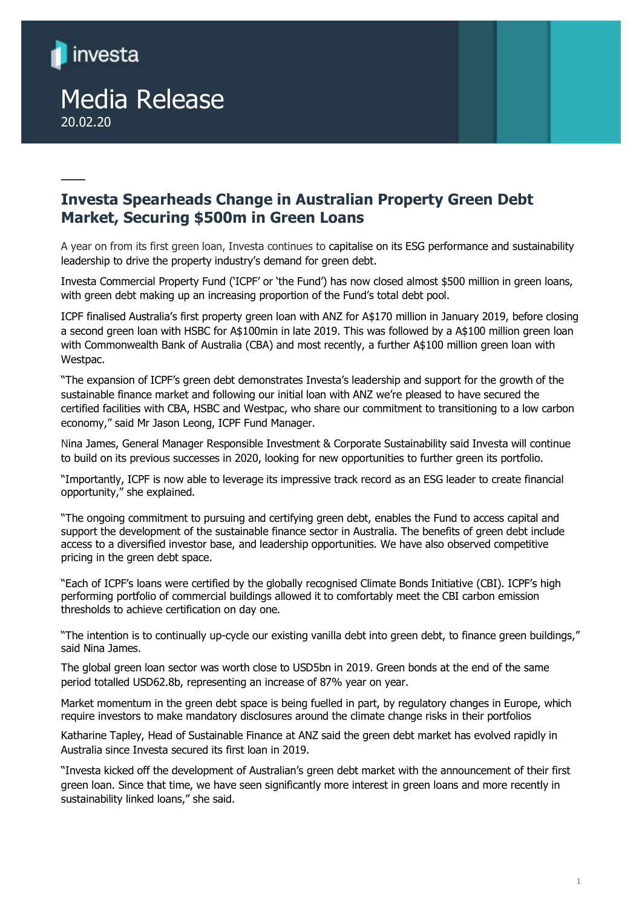

# Media Release 20.02.20

# **Investa Spearheads Change in Australian Property Green Debt Market, Securing \$500m in Green Loans**

A year on from its first green loan, Investa continues to capitalise on its ESG performance and sustainability leadership to drive the property industry's demand for green debt.

Investa Commercial Property Fund ('ICPF' or 'the Fund') has now closed almost \$500 million in green loans, with green debt making up an increasing proportion of the Fund's total debt pool.

ICPF finalised Australia's first property green loan with ANZ for A\$170 million in January 2019, before closing a second green loan with HSBC for A\$100min in late 2019. This was followed by a A\$100 million green loan with Commonwealth Bank of Australia (CBA) and most recently, a further A\$100 million green loan with Westpac.

"The expansion of ICPF's green debt demonstrates Investa's leadership and support for the growth of the sustainable finance market and following our initial loan with ANZ we're pleased to have secured the certified facilities with CBA, HSBC and Westpac, who share our commitment to transitioning to a low carbon economy," said Mr Jason Leong, ICPF Fund Manager.

Nina James, General Manager Responsible Investment & Corporate Sustainability said Investa will continue to build on its previous successes in 2020, looking for new opportunities to further green its portfolio.

"Importantly, ICPF is now able to leverage its impressive track record as an ESG leader to create financial opportunity," she explained.

"The ongoing commitment to pursuing and certifying green debt, enables the Fund to access capital and support the development of the sustainable finance sector in Australia. The benefits of green debt include access to a diversified investor base, and leadership opportunities. We have also observed competitive pricing in the green debt space.

"Each of ICPF's loans were certified by the globally recognised Climate Bonds Initiative (CBI). ICPF's high performing portfolio of commercial buildings allowed it to comfortably meet the CBI carbon emission thresholds to achieve certification on day one.

"The intention is to continually up-cycle our existing vanilla debt into green debt, to finance green buildings," said Nina James.

The global green loan sector was worth close to USD5bn in 2019. Green bonds at the end of the same period totalled USD62.8b, representing an increase of 87% year on year.

Market momentum in the green debt space is being fuelled in part, by regulatory changes in Europe, which require investors to make mandatory disclosures around the climate change risks in their portfolios

Katharine Tapley, Head of Sustainable Finance at ANZ said the green debt market has evolved rapidly in Australia since Investa secured its first loan in 2019.

"Investa kicked off the development of Australian's green debt market with the announcement of their first green loan. Since that time, we have seen significantly more interest in green loans and more recently in sustainability linked loans," she said.